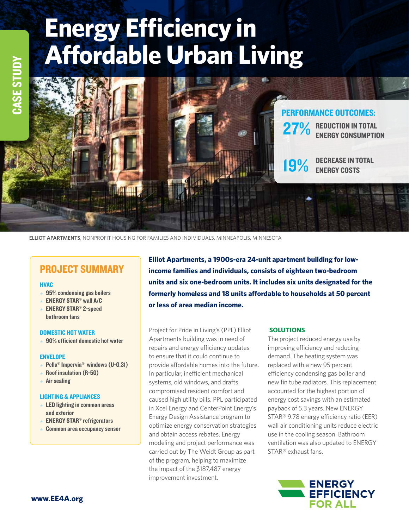# **Energy Efficiency in Affordable Urban Living**



**ELLIOT APARTMENTS**, NONPROFIT HOUSING FOR FAMILIES AND INDIVIDUALS, MINNEAPOLIS, MINNESOTA

# PROJECT SUMMARY

#### **HVAC**

- $\star$  95% condensing gas boilers
- $\star$  ENERGY STAR<sup>®</sup> wall A/C
- $\star$  ENERGY STAR<sup>®</sup> 2-speed bathroom fans

#### DOMESTIC HOT WATER

 $\star$  90% efficient domestic hot water

#### ENVELOPE

- Pella<sup>®</sup> Impervia<sup>®</sup> windows (U-0.31)
- $\star$  Roof insulation (R-50)
- $\star$  Air sealing

#### LIGHTING & APPLIANCES

- $\star$  LED lighting in common areas and exterior
- $\star$  ENERGY STAR<sup>®</sup> refrigerators
- Common area occupancy sensor

**Elliot Apartments, a 1900s-era 24-unit apartment building for lowincome families and individuals, consists of eighteen two-bedroom units and six one-bedroom units. It includes six units designated for the formerly homeless and 18 units affordable to households at 50 percent or less of area median income.** 

Project for Pride in Living's (PPL) Elliot Apartments building was in need of repairs and energy efficiency updates to ensure that it could continue to provide affordable homes into the future**.**  In particular, inefficient mechanical systems, old windows, and drafts compromised resident comfort and caused high utility bills. PPL participated in Xcel Energy and CenterPoint Energy's Energy Design Assistance program to optimize energy conservation strategies and obtain access rebates. Energy modeling and project performance was carried out by The Weidt Group as part of the program, helping to maximize the impact of the \$187,487 energy improvement investment.

## **SOLUTIONS**

The project reduced energy use by improving efficiency and reducing demand. The heating system was replaced with a new 95 percent efficiency condensing gas boiler and new fin tube radiators. This replacement accounted for the highest portion of energy cost savings with an estimated payback of 5.3 years. New ENERGY STAR® 9.78 energy efficiency ratio (EER) wall air conditioning units reduce electric use in the cooling season. Bathroom ventilation was also updated to ENERGY STAR® exhaust fans.